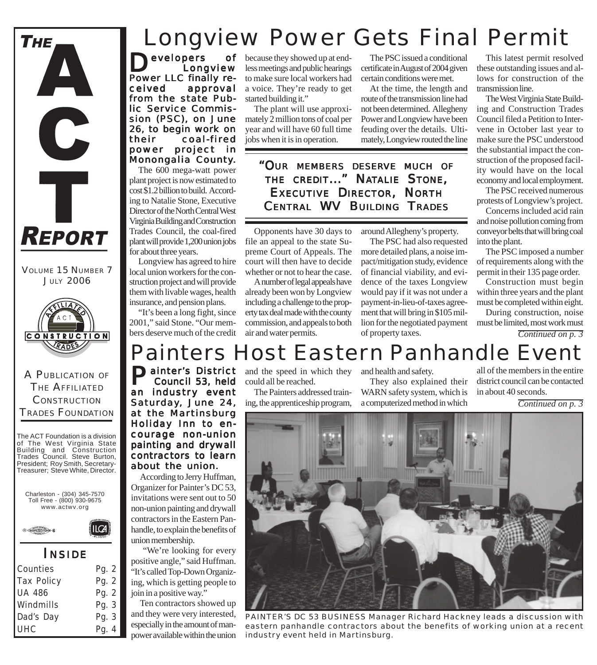

VOLUME 15 NUMBER 7 JULY 2006



A PUBLICATION OF THE AFFILIATED **CONSTRUCTION** TRADES FOUNDATION

The ACT Foundation is a division of The West Virginia State Building and Construction Trades Council. Steve Burton, President; Roy Smith, Secretary-Treasurer; Steve White, Director.





### *I NSIDE*

II CA

| Counties          | Pg. 2 |
|-------------------|-------|
| <b>Tax Policy</b> | Pg. 2 |
| <b>UA 486</b>     | Pg. 2 |
| Windmills         | Pg. 3 |
| Dad's Day         | Pg. 3 |
| UHC               | Pg. 4 |

## Longview Power Gets Final Permit

evelopers of Longview Power LLC finally received approval from the state Public Service Commission (PSC), on June 26, to begin work on their coal-fired power project in Monongalia County.

The 600 mega-watt power plant project is now estimated to cost \$1.2 billion to build. According to Natalie Stone, Executive Director of the North Central West Virginia Building and Construction Trades Council, the coal-fired plant will provide 1,200 union jobs for about three years.

Longview has agreed to hire local union workers for the construction project and will provide them with livable wages, health insurance, and pension plans.

"It's been a long fight, since 2001," said Stone. "Our members deserve much of the credit

because they showed up at endless meetings and public hearings to make sure local workers had a voice. They're ready to get started building it."

The plant will use approximately 2 million tons of coal per year and will have 60 full time jobs when it is in operation.

The PSC issued a conditional certificate in August of 2004 given certain conditions were met.

At the time, the length and route of the transmission line had not been determined. Allegheny Power and Longview have been feuding over the details. Ultimately, Longview routed the line

*"OUR MEMBERS DESERVE MUCH OF THE CREDIT..." NATALIE STONE, EXECUTIVE DIRECTOR, NORTH CENTRAL WV BUILDING TRADES*

Opponents have 30 days to file an appeal to the state Supreme Court of Appeals. The court will then have to decide whether or not to hear the case.

A number of legal appeals have already been won by Longview including a challenge to the property tax deal made with the county commission, and appeals to both air and water permits.

around Allegheny's property.

The PSC had also requested more detailed plans, a noise impact/mitigation study, evidence of financial viability, and evidence of the taxes Longview would pay if it was not under a payment-in-lieu-of-taxes agreement that will bring in \$105 million for the negotiated payment of property taxes.

This latest permit resolved these outstanding issues and allows for construction of the transmission line.

The West Virginia State Building and Construction Trades Council filed a Petition to Intervene in October last year to make sure the PSC understood the substantial impact the construction of the proposed facility would have on the local economy and local employment.

The PSC received numerous protests of Longview's project.

Concerns included acid rain and noise pollution coming from conveyor belts that will bring coal into the plant.

The PSC imposed a number of requirements along with the permit in their 135 page order.

Construction must begin within three years and the plant must be completed within eight.

During construction, noise must be limited, most work must

*Continued on p. 3*

### Painters Host Eastern Panhandle Event

**Painter's District** and the speed in which they and health and safety.<br> **Council 53, held** could all be reached. They also explain Council 53, held an industry event Saturday, June 24, at the Martinsburg Holiday Inn to encourage non-union

painting and drywall contractors to learn about the union. According to Jerry Huffman, Organizer for Painter's DC 53, invitations were sent out to 50 non-union painting and drywall contractors in the Eastern Panhandle, to explain the benefits of union membership.

"We're looking for every positive angle," said Huffman. "It's called Top-Down Organizing, which is getting people to join in a positive way."

Ten contractors showed up and they were very interested, especially in the amount of manpower available within the union

could all be reached.

The Painters addressed training, the apprenticeship program,

They also explained their WARN safety system, which is a computerized method in which

all of the members in the entire district council can be contacted in about 40 seconds.

*Continued on p. 3*



*PAINTER'S DC 53 BUSINESS Manager Richard Hackney leads a discussion with eastern panhandle contractors about the benefits of working union at a recent industry event held in Martinsburg.*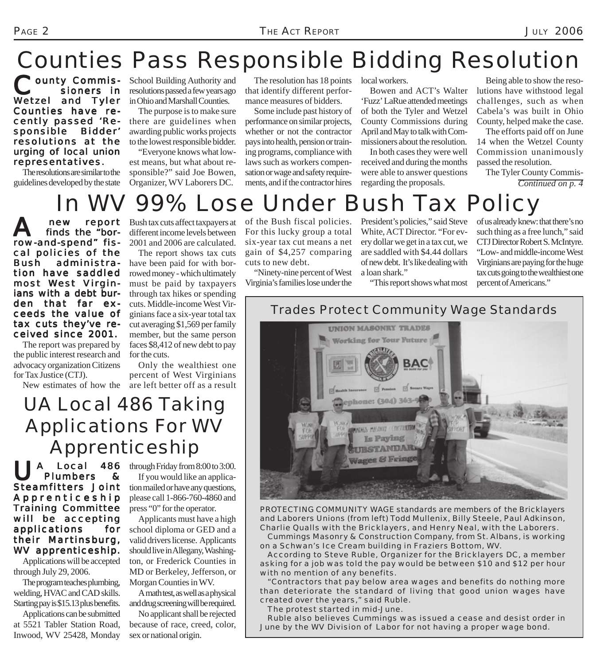## Counties Pass Responsible Bidding Resolution

Pounty Commis sioners in Wetzel and Tyler Counties have recently passed 'Re- 'Responsible Bidder' resolutions at the urging of local union representatives.

The resolutions are similar to the guidelines developed by the state

School Building Authority and resolutions passed a few years ago in Ohio and Marshall Counties.

The purpose is to make sure there are guidelines when awarding public works projects to the lowest responsible bidder.

"Everyone knows what lowest means, but what about responsible?" said Joe Bowen, Organizer, WV Laborers DC.

The resolution has 18 points that identify different performance measures of bidders.

Some include past history of performance on similar projects, whether or not the contractor pays into health, pension or training programs, compliance with laws such as workers compensation or wage and safety requirements, and if the contractor hires

local workers.

Bowen and ACT's Walter 'Fuzz' LaRue attended meetings of both the Tyler and Wetzel County Commissions during April and May to talk with Commissioners about the resolution.

In both cases they were well received and during the months were able to answer questions regarding the proposals.

Being able to show the resolutions have withstood legal challenges, such as when Cabela's was built in Ohio County, helped make the case.

The efforts paid off on June 14 when the Wetzel County Commission unanimously passed the resolution.

The Tyler County Commis-*Continued on p. 4*

## 99% Lose Under Bush Tax Policy

 $A$  new report<br>finds the "borrow-and-spend" fiscal policies of the Bush administration have saddled most West Virginians with a debt burden that far exceeds the value of tax cuts they've received since 2001.

The report was prepared by the public interest research and advocacy organization Citizens for Tax Justice (CTJ).

Bush tax cuts affect taxpayers at different income levels between 2001 and 2006 are calculated.

The report shows tax cuts have been paid for with borrowed money - which ultimately must be paid by taxpayers through tax hikes or spending cuts. Middle-income West Virginians face a six-year total tax cut averaging \$1,569 per family member, but the same person faces \$8,412 of new debt to pay for the cuts.

New estimates of how the are left better off as a result Only the wealthiest one percent of West Virginians

### UA Local 486 Taking Applications For WV Apprenticeship

A Local 486<br>Plumbers & **Plumbers** Steamfitters Joint Apprenticeship Training Committee will be accepting applications for their Martinsburg, WV apprenticeship. Applications will be accepted

through July 29, 2006.

The program teaches plumbing, welding, HVAC and CAD skills. Starting pay is \$15.13 plus benefits. Applications can be submitted at 5521 Tabler Station Road, Inwood, WV 25428, Monday

through Friday from 8:00 to 3:00. If you would like an application mailed or have any questions, please call 1-866-760-4860 and press "0" for the operator.

Applicants must have a high school diploma or GED and a valid drivers license. Applicants should live in Allegany, Washington, or Frederick Counties in MD or Berkeley, Jefferson, or Morgan Counties in WV.

A math test, as well as a physical and drug screening will be required.

No applicant shall be rejected because of race, creed, color, sex or national origin.

of the Bush fiscal policies. For this lucky group a total six-year tax cut means a net gain of \$4,257 comparing cuts to new debt.

"Ninety-nine percent of West Virginia's families lose under the President's policies," said Steve White, ACT Director. "For every dollar we get in a tax cut, we are saddled with \$4.44 dollars of new debt. It's like dealing with a loan shark."

of us already knew: that there's no such thing as a free lunch," said CTJ Director Robert S. McIntyre. "Low- and middle-income West Virginians are paying for the huge tax cuts going to the wealthiest one percent of Americans."

"This report shows what most



*PROTECTING COMMUNITY WAGE standards are members of the Bricklayers and Laborers Unions (from left) Todd Mullenix, Billy Steele, Paul Adkinson, Charlie Qualls with the Bricklayers, and Henry Neal, with the Laborers.*

*Cummings Masonry & Construction Company, from St. Albans, is working on a Schwan's Ice Cream building in Fraziers Bottom, WV.*

*According to Steve Ruble, Organizer for the Bricklayers DC, a member asking for a job was told the pay would be between \$10 and \$12 per hour with no mention of any benefits.*

*"Contractors that pay below area wages and benefits do nothing more than deteriorate the standard of living that good union wages have created over the years," said Ruble.*

*The protest started in mid-June.*

*Ruble also believes Cummings was issued a cease and desist order in June by the WV Division of Labor for not having a proper wage bond.*

### *Trades Protect Community Wage Standards*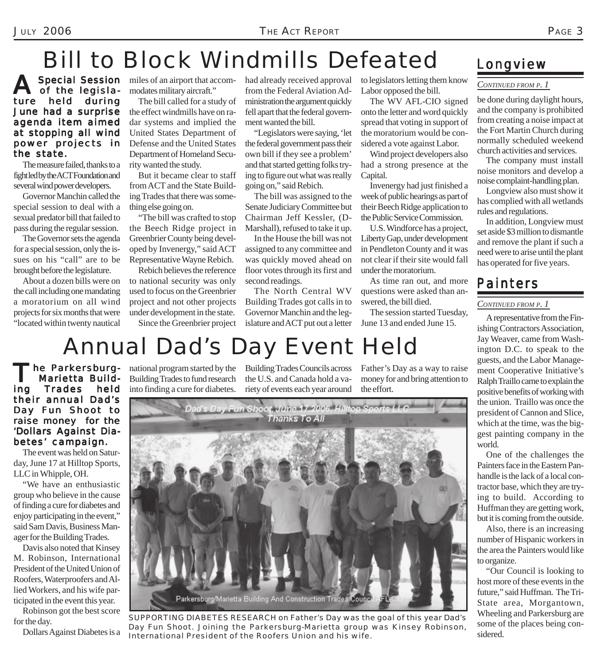## Bill to Block Windmills Defeated

A Special Session<br>
of the legislature held during June had a surprise agenda item aimed at stopping all wind power projects in the state.

The measure failed, thanks to a fight led by the ACT Foundation and several wind power developers.

Governor Manchin called the special session to deal with a sexual predator bill that failed to pass during the regular session.

The Governor sets the agenda for a special session, only the issues on his "call" are to be brought before the legislature.

About a dozen bills were on the call including one mandating a moratorium on all wind projects for six months that were "located within twenty nautical

**Special Session** miles of an airport that accommodates military aircraft."

> The bill called for a study of the effect windmills have on radar systems and implied the United States Department of Defense and the United States Department of Homeland Security wanted the study.

But it became clear to staff from ACT and the State Building Trades that there was something else going on.

"The bill was crafted to stop the Beech Ridge project in Greenbrier County being developed by Invenergy," said ACT Representative Wayne Rebich.

Rebich believes the reference to national security was only used to focus on the Greenbrier project and not other projects under development in the state. Since the Greenbrier project had already received approval from the Federal Aviation Administration the argument quickly fell apart that the federal government wanted the bill.

"Legislators were saying, 'let the federal government pass their own bill if they see a problem' and that started getting folks trying to figure out what was really going on," said Rebich.

The bill was assigned to the Senate Judiciary Committee but Chairman Jeff Kessler, (D-Marshall), refused to take it up.

In the House the bill was not assigned to any committee and was quickly moved ahead on floor votes through its first and second readings.

The North Central WV Building Trades got calls in to Governor Manchin and the legislature and ACT put out a letter to legislators letting them know Labor opposed the bill.

The WV AFL-CIO signed onto the letter and word quickly spread that voting in support of the moratorium would be considered a vote against Labor.

Wind project developers also had a strong presence at the Capital.

Invenergy had just finished a week of public hearings as part of their Beech Ridge application to the Public Service Commission.

U.S. Windforce has a project, Liberty Gap, under development in Pendleton County and it was not clear if their site would fall under the moratorium.

As time ran out, and more questions were asked than answered, the bill died.

The session started Tuesday, June 13 and ended June 15.

# Annual Dad's Day Event Held

The Parkersburg-<br>Marietta Build-<br>Ing Trades held Marietta Build-Trades their annual Dad's Day Fun Shoot to raise money for the 'Dollars Against Diabetes' campaign.

The event was held on Saturday, June 17 at Hilltop Sports, LLC in Whipple, OH.

"We have an enthusiastic group who believe in the cause of finding a cure for diabetes and enjoy participating in the event," said Sam Davis, Business Manager for the Building Trades.

Davis also noted that Kinsey M. Robinson, International President of the United Union of Roofers, Waterproofers and Allied Workers, and his wife participated in the event this year.

Robinson got the best score for the day.

Dollars Against Diabetes is a

national program started by the Building Trades to fund research into finding a cure for diabetes.

Building Trades Councils across the U.S. and Canada hold a variety of events each year around

Father's Day as a way to raise money for and bring attention to the effort.



*SUPPORTING DIABETES RESEARCH on Father's Day was the goal of this year Dad's Day Fun Shoot. Joining the Parkersburg-Marietta group was Kinsey Robinson, International President of the Roofers Union and his wife.*

### *Longview*

#### *CONTINUED FROM P. 1*

be done during daylight hours, and the company is prohibited from creating a noise impact at the Fort Martin Church during normally scheduled weekend church activities and services.

The company must install noise monitors and develop a noise complaint-handling plan.

Longview also must show it has complied with all wetlands rules and regulations.

In addition, Longview must set aside \$3 million to dismantle and remove the plant if such a need were to arise until the plant has operated for five years.

### *Painters*

### *CONTINUED FROM P. 1*

A representative from the Finishing Contractors Association, Jay Weaver, came from Washington D.C. to speak to the guests, and the Labor Management Cooperative Initiative's Ralph Traillo came to explain the positive benefits of working with the union. Traillo was once the president of Cannon and Slice, which at the time, was the biggest painting company in the world.

One of the challenges the Painters face in the Eastern Panhandle is the lack of a local contractor base, which they are trying to build. According to Huffman they are getting work, but it is coming from the outside.

Also, there is an increasing number of Hispanic workers in the area the Painters would like to organize.

"Our Council is looking to host more of these events in the future," said Huffman. The Tri-State area, Morgantown, Wheeling and Parkersburg are some of the places being considered.